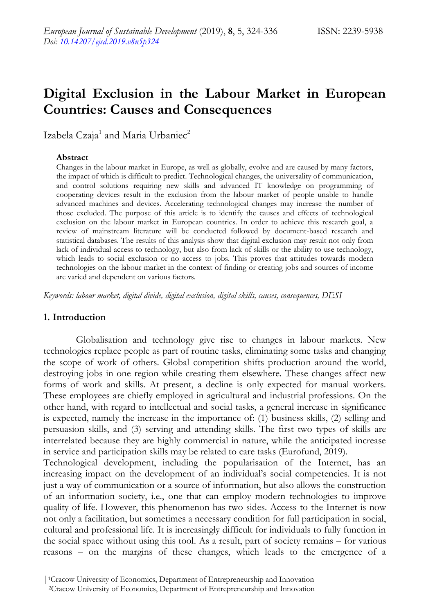# **Digital Exclusion in the Labour Market in European Countries: Causes and Consequences**

Izabela Czaja<sup>1</sup> and Maria Urbaniec<sup>2</sup>

#### **Abstract**

Changes in the labour market in Europe, as well as globally, evolve and are caused by many factors, the impact of which is difficult to predict. Technological changes, the universality of communication, and control solutions requiring new skills and advanced IT knowledge on programming of cooperating devices result in the exclusion from the labour market of people unable to handle advanced machines and devices. Accelerating technological changes may increase the number of those excluded. The purpose of this article is to identify the causes and effects of technological exclusion on the labour market in European countries. In order to achieve this research goal, a review of mainstream literature will be conducted followed by document-based research and statistical databases. The results of this analysis show that digital exclusion may result not only from lack of individual access to technology, but also from lack of skills or the ability to use technology, which leads to social exclusion or no access to jobs. This proves that attitudes towards modern technologies on the labour market in the context of finding or creating jobs and sources of income are varied and dependent on various factors.

*Keywords: labour market, digital divide, digital exclusion, digital skills, causes, consequences, DESI*

## **1. Introduction**

Globalisation and technology give rise to changes in labour markets. New technologies replace people as part of routine tasks, eliminating some tasks and changing the scope of work of others. Global competition shifts production around the world, destroying jobs in one region while creating them elsewhere. These changes affect new forms of work and skills. At present, a decline is only expected for manual workers. These employees are chiefly employed in agricultural and industrial professions. On the other hand, with regard to intellectual and social tasks, a general increase in significance is expected, namely the increase in the importance of: (1) business skills, (2) selling and persuasion skills, and (3) serving and attending skills. The first two types of skills are interrelated because they are highly commercial in nature, while the anticipated increase in service and participation skills may be related to care tasks (Eurofund, 2019).

Technological development, including the popularisation of the Internet, has an increasing impact on the development of an individual's social competencies. It is not just a way of communication or a source of information, but also allows the construction of an information society, i.e., one that can employ modern technologies to improve quality of life. However, this phenomenon has two sides. Access to the Internet is now not only a facilitation, but sometimes a necessary condition for full participation in social, cultural and professional life. It is increasingly difficult for individuals to fully function in the social space without using this tool. As a result, part of society remains – for various reasons – on the margins of these changes, which leads to the emergence of a

<sup>2</sup>Cracow University of Economics, Department of Entrepreneurship and Innovation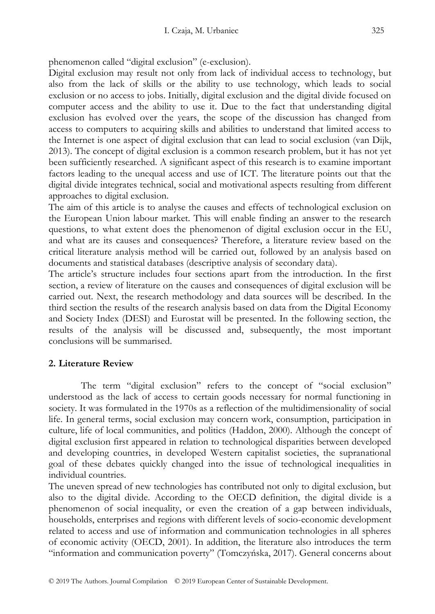phenomenon called "digital exclusion" (e-exclusion).

Digital exclusion may result not only from lack of individual access to technology, but also from the lack of skills or the ability to use technology, which leads to social exclusion or no access to jobs. Initially, digital exclusion and the digital divide focused on computer access and the ability to use it. Due to the fact that understanding digital exclusion has evolved over the years, the scope of the discussion has changed from access to computers to acquiring skills and abilities to understand that limited access to the Internet is one aspect of digital exclusion that can lead to social exclusion (van Dijk, 2013). The concept of digital exclusion is a common research problem, but it has not yet been sufficiently researched. A significant aspect of this research is to examine important factors leading to the unequal access and use of ICT. The literature points out that the digital divide integrates technical, social and motivational aspects resulting from different approaches to digital exclusion.

The aim of this article is to analyse the causes and effects of technological exclusion on the European Union labour market. This will enable finding an answer to the research questions, to what extent does the phenomenon of digital exclusion occur in the EU, and what are its causes and consequences? Therefore, a literature review based on the critical literature analysis method will be carried out, followed by an analysis based on documents and statistical databases (descriptive analysis of secondary data).

The article's structure includes four sections apart from the introduction. In the first section, a review of literature on the causes and consequences of digital exclusion will be carried out. Next, the research methodology and data sources will be described. In the third section the results of the research analysis based on data from the Digital Economy and Society Index (DESI) and Eurostat will be presented. In the following section, the results of the analysis will be discussed and, subsequently, the most important conclusions will be summarised.

## **2. Literature Review**

The term "digital exclusion" refers to the concept of "social exclusion" understood as the lack of access to certain goods necessary for normal functioning in society. It was formulated in the 1970s as a reflection of the multidimensionality of social life. In general terms, social exclusion may concern work, consumption, participation in culture, life of local communities, and politics (Haddon, 2000). Although the concept of digital exclusion first appeared in relation to technological disparities between developed and developing countries, in developed Western capitalist societies, the supranational goal of these debates quickly changed into the issue of technological inequalities in individual countries.

The uneven spread of new technologies has contributed not only to digital exclusion, but also to the digital divide. According to the OECD definition, the digital divide is a phenomenon of social inequality, or even the creation of a gap between individuals, households, enterprises and regions with different levels of socio-economic development related to access and use of information and communication technologies in all spheres of economic activity (OECD, 2001). In addition, the literature also introduces the term "information and communication poverty" (Tomczyńska, 2017). General concerns about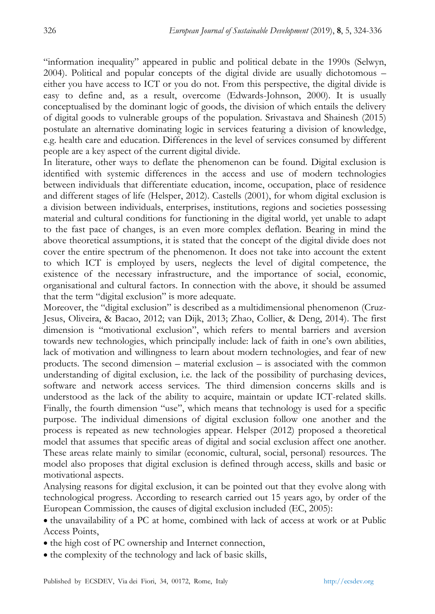"information inequality" appeared in public and political debate in the 1990s (Selwyn, 2004). Political and popular concepts of the digital divide are usually dichotomous – either you have access to ICT or you do not. From this perspective, the digital divide is easy to define and, as a result, overcome (Edwards-Johnson, 2000). It is usually conceptualised by the dominant logic of goods, the division of which entails the delivery of digital goods to vulnerable groups of the population. Srivastava and Shainesh (2015) postulate an alternative dominating logic in services featuring a division of knowledge, e.g. health care and education. Differences in the level of services consumed by different people are a key aspect of the current digital divide.

In literature, other ways to deflate the phenomenon can be found. Digital exclusion is identified with systemic differences in the access and use of modern technologies between individuals that differentiate education, income, occupation, place of residence and different stages of life (Helsper, 2012). Castells (2001), for whom digital exclusion is a division between individuals, enterprises, institutions, regions and societies possessing material and cultural conditions for functioning in the digital world, yet unable to adapt to the fast pace of changes, is an even more complex deflation. Bearing in mind the above theoretical assumptions, it is stated that the concept of the digital divide does not cover the entire spectrum of the phenomenon. It does not take into account the extent to which ICT is employed by users, neglects the level of digital competence, the existence of the necessary infrastructure, and the importance of social, economic, organisational and cultural factors. In connection with the above, it should be assumed that the term "digital exclusion" is more adequate.

Moreover, the "digital exclusion" is described as a multidimensional phenomenon (Cruz-Jesus, Oliveira, & Bacao, 2012; van Dijk, 2013; Zhao, Collier, & Deng, 2014). The first dimension is "motivational exclusion", which refers to mental barriers and aversion towards new technologies, which principally include: lack of faith in one's own abilities, lack of motivation and willingness to learn about modern technologies, and fear of new products. The second dimension – material exclusion – is associated with the common understanding of digital exclusion, i.e. the lack of the possibility of purchasing devices, software and network access services. The third dimension concerns skills and is understood as the lack of the ability to acquire, maintain or update ICT-related skills. Finally, the fourth dimension "use", which means that technology is used for a specific purpose. The individual dimensions of digital exclusion follow one another and the process is repeated as new technologies appear. Helsper (2012) proposed a theoretical model that assumes that specific areas of digital and social exclusion affect one another. These areas relate mainly to similar (economic, cultural, social, personal) resources. The model also proposes that digital exclusion is defined through access, skills and basic or motivational aspects.

Analysing reasons for digital exclusion, it can be pointed out that they evolve along with technological progress. According to research carried out 15 years ago, by order of the European Commission, the causes of digital exclusion included (EC, 2005):

 the unavailability of a PC at home, combined with lack of access at work or at Public Access Points,

- the high cost of PC ownership and Internet connection,
- the complexity of the technology and lack of basic skills,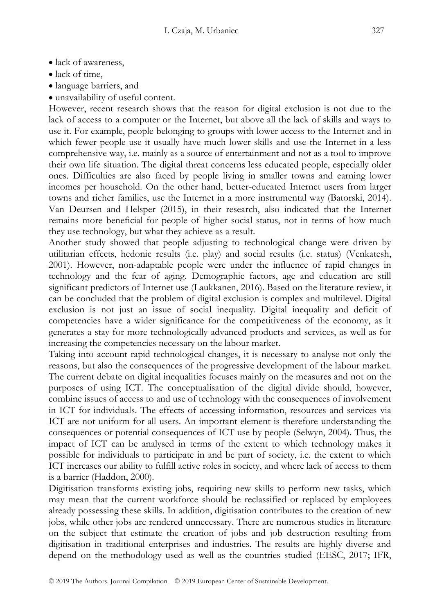- lack of awareness,
- lack of time,
- language barriers, and
- unavailability of useful content.

However, recent research shows that the reason for digital exclusion is not due to the lack of access to a computer or the Internet, but above all the lack of skills and ways to use it. For example, people belonging to groups with lower access to the Internet and in which fewer people use it usually have much lower skills and use the Internet in a less comprehensive way, i.e. mainly as a source of entertainment and not as a tool to improve their own life situation. The digital threat concerns less educated people, especially older ones. Difficulties are also faced by people living in smaller towns and earning lower incomes per household. On the other hand, better-educated Internet users from larger towns and richer families, use the Internet in a more instrumental way (Batorski, 2014). Van Deursen and Helsper (2015), in their research, also indicated that the Internet remains more beneficial for people of higher social status, not in terms of how much they use technology, but what they achieve as a result.

Another study showed that people adjusting to technological change were driven by utilitarian effects, hedonic results (i.e. play) and social results (i.e. status) (Venkatesh, 2001). However, non-adaptable people were under the influence of rapid changes in technology and the fear of aging. Demographic factors, age and education are still significant predictors of Internet use (Laukkanen, 2016). Based on the literature review, it can be concluded that the problem of digital exclusion is complex and multilevel. Digital exclusion is not just an issue of social inequality. Digital inequality and deficit of competencies have a wider significance for the competitiveness of the economy, as it generates a stay for more technologically advanced products and services, as well as for increasing the competencies necessary on the labour market.

Taking into account rapid technological changes, it is necessary to analyse not only the reasons, but also the consequences of the progressive development of the labour market. The current debate on digital inequalities focuses mainly on the measures and not on the purposes of using ICT. The conceptualisation of the digital divide should, however, combine issues of access to and use of technology with the consequences of involvement in ICT for individuals. The effects of accessing information, resources and services via ICT are not uniform for all users. An important element is therefore understanding the consequences or potential consequences of ICT use by people (Selwyn, 2004). Thus, the impact of ICT can be analysed in terms of the extent to which technology makes it possible for individuals to participate in and be part of society, i.e. the extent to which ICT increases our ability to fulfill active roles in society, and where lack of access to them is a barrier (Haddon, 2000).

Digitisation transforms existing jobs, requiring new skills to perform new tasks, which may mean that the current workforce should be reclassified or replaced by employees already possessing these skills. In addition, digitisation contributes to the creation of new jobs, while other jobs are rendered unnecessary. There are numerous studies in literature on the subject that estimate the creation of jobs and job destruction resulting from digitisation in traditional enterprises and industries. The results are highly diverse and depend on the methodology used as well as the countries studied (EESC, 2017; IFR,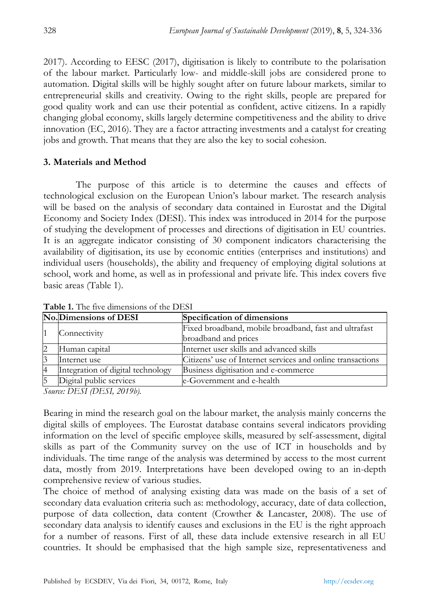2017). According to EESC (2017), digitisation is likely to contribute to the polarisation of the labour market. Particularly low- and middle-skill jobs are considered prone to automation. Digital skills will be highly sought after on future labour markets, similar to entrepreneurial skills and creativity. Owing to the right skills, people are prepared for good quality work and can use their potential as confident, active citizens. In a rapidly changing global economy, skills largely determine competitiveness and the ability to drive innovation (EC, 2016). They are a factor attracting investments and a catalyst for creating jobs and growth. That means that they are also the key to social cohesion.

## **3. Materials and Method**

The purpose of this article is to determine the causes and effects of technological exclusion on the European Union's labour market. The research analysis will be based on the analysis of secondary data contained in Eurostat and the Digital Economy and Society Index (DESI). This index was introduced in 2014 for the purpose of studying the development of processes and directions of digitisation in EU countries. It is an aggregate indicator consisting of 30 component indicators characterising the availability of digitisation, its use by economic entities (enterprises and institutions) and individual users (households), the ability and frequency of employing digital solutions at school, work and home, as well as in professional and private life. This index covers five basic areas (Table 1).

| No. Dimensions of DESI            | Specification of dimensions                                |
|-----------------------------------|------------------------------------------------------------|
| Connectivity                      | Fixed broadband, mobile broadband, fast and ultrafast      |
|                                   | broadband and prices                                       |
| Human capital                     | Internet user skills and advanced skills                   |
| Internet use                      | Citizens' use of Internet services and online transactions |
| Integration of digital technology | Business digitisation and e-commerce                       |
| Digital public services           | e-Government and e-health                                  |

**Table 1.** The five dimensions of the DESI

*Source: DESI (DESI, 2019b).* 

Bearing in mind the research goal on the labour market, the analysis mainly concerns the digital skills of employees. The Eurostat database contains several indicators providing information on the level of specific employee skills, measured by self-assessment, digital skills as part of the Community survey on the use of ICT in households and by individuals. The time range of the analysis was determined by access to the most current data, mostly from 2019. Interpretations have been developed owing to an in-depth comprehensive review of various studies.

The choice of method of analysing existing data was made on the basis of a set of secondary data evaluation criteria such as: methodology, accuracy, date of data collection, purpose of data collection, data content (Crowther & Lancaster, 2008). The use of secondary data analysis to identify causes and exclusions in the EU is the right approach for a number of reasons. First of all, these data include extensive research in all EU countries. It should be emphasised that the high sample size, representativeness and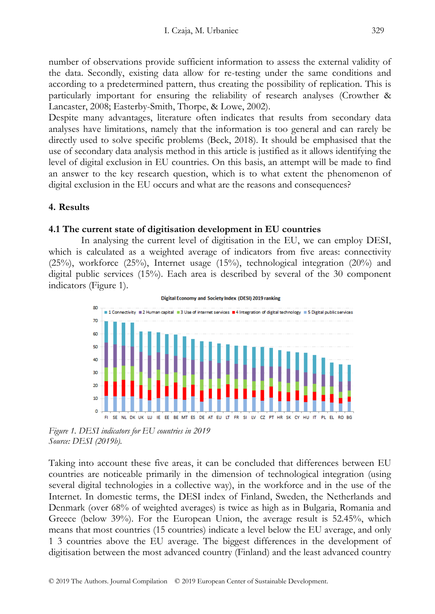number of observations provide sufficient information to assess the external validity of the data. Secondly, existing data allow for re-testing under the same conditions and according to a predetermined pattern, thus creating the possibility of replication. This is particularly important for ensuring the reliability of research analyses (Crowther & Lancaster, 2008; Easterby-Smith, Thorpe, & Lowe, 2002).

Despite many advantages, literature often indicates that results from secondary data analyses have limitations, namely that the information is too general and can rarely be directly used to solve specific problems (Beck, 2018). It should be emphasised that the use of secondary data analysis method in this article is justified as it allows identifying the level of digital exclusion in EU countries. On this basis, an attempt will be made to find an answer to the key research question, which is to what extent the phenomenon of digital exclusion in the EU occurs and what are the reasons and consequences?

## **4. Results**

#### **4.1 The current state of digitisation development in EU countries**

In analysing the current level of digitisation in the EU, we can employ DESI, which is calculated as a weighted average of indicators from five areas: connectivity  $(25\%)$ , workforce  $(25\%)$ , Internet usage  $(15\%)$ , technological integration  $(20\%)$  and digital public services (15%). Each area is described by several of the 30 component indicators (Figure 1).





*Figure 1. DESI indicators for EU countries in 2019 Source: DESI (2019b).* 

Taking into account these five areas, it can be concluded that differences between EU countries are noticeable primarily in the dimension of technological integration (using several digital technologies in a collective way), in the workforce and in the use of the Internet. In domestic terms, the DESI index of Finland, Sweden, the Netherlands and Denmark (over 68% of weighted averages) is twice as high as in Bulgaria, Romania and Greece (below 39%). For the European Union, the average result is 52.45%, which means that most countries (15 countries) indicate a level below the EU average, and only 1 3 countries above the EU average. The biggest differences in the development of digitisation between the most advanced country (Finland) and the least advanced country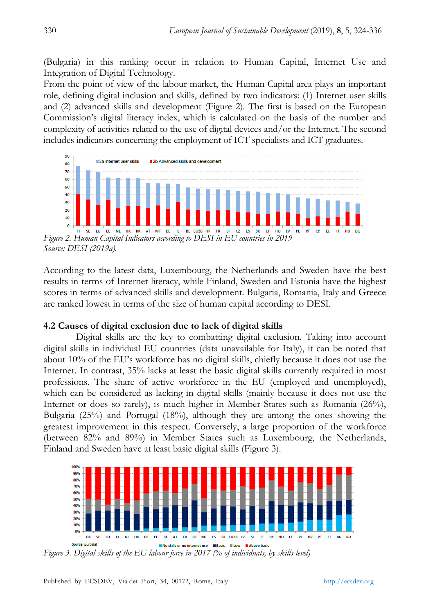(Bulgaria) in this ranking occur in relation to Human Capital, Internet Use and Integration of Digital Technology.

From the point of view of the labour market, the Human Capital area plays an important role, defining digital inclusion and skills, defined by two indicators: (1) Internet user skills and (2) advanced skills and development (Figure 2). The first is based on the European Commission's digital literacy index, which is calculated on the basis of the number and complexity of activities related to the use of digital devices and/or the Internet. The second includes indicators concerning the employment of ICT specialists and ICT graduates.



*Source: DESI (2019a).* 

According to the latest data, Luxembourg, the Netherlands and Sweden have the best results in terms of Internet literacy, while Finland, Sweden and Estonia have the highest scores in terms of advanced skills and development. Bulgaria, Romania, Italy and Greece are ranked lowest in terms of the size of human capital according to DESI.

## **4.2 Causes of digital exclusion due to lack of digital skills**

Digital skills are the key to combatting digital exclusion. Taking into account digital skills in individual EU countries (data unavailable for Italy), it can be noted that about 10% of the EU's workforce has no digital skills, chiefly because it does not use the Internet. In contrast, 35% lacks at least the basic digital skills currently required in most professions. The share of active workforce in the EU (employed and unemployed), which can be considered as lacking in digital skills (mainly because it does not use the Internet or does so rarely), is much higher in Member States such as Romania (26%), Bulgaria (25%) and Portugal (18%), although they are among the ones showing the greatest improvement in this respect. Conversely, a large proportion of the workforce (between 82% and 89%) in Member States such as Luxembourg, the Netherlands, Finland and Sweden have at least basic digital skills (Figure 3).



*Figure 3. Digital skills of the EU labour force in 2017 (% of individuals, by skills level)*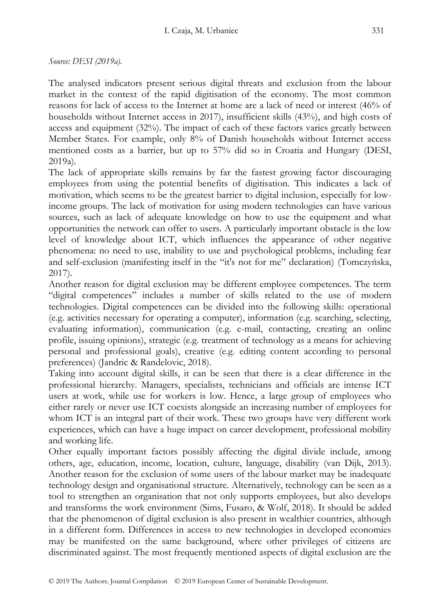The analysed indicators present serious digital threats and exclusion from the labour market in the context of the rapid digitisation of the economy. The most common reasons for lack of access to the Internet at home are a lack of need or interest (46% of households without Internet access in 2017), insufficient skills (43%), and high costs of access and equipment (32%). The impact of each of these factors varies greatly between Member States. For example, only 8% of Danish households without Internet access mentioned costs as a barrier, but up to 57% did so in Croatia and Hungary (DESI, 2019a).

The lack of appropriate skills remains by far the fastest growing factor discouraging employees from using the potential benefits of digitisation. This indicates a lack of motivation, which seems to be the greatest barrier to digital inclusion, especially for lowincome groups. The lack of motivation for using modern technologies can have various sources, such as lack of adequate knowledge on how to use the equipment and what opportunities the network can offer to users. A particularly important obstacle is the low level of knowledge about ICT, which influences the appearance of other negative phenomena: no need to use, inability to use and psychological problems, including fear and self-exclusion (manifesting itself in the "it's not for me" declaration) (Tomczyńska, 2017).

Another reason for digital exclusion may be different employee competences. The term "digital competences" includes a number of skills related to the use of modern technologies. Digital competences can be divided into the following skills: operational (e.g. activities necessary for operating a computer), information (e.g. searching, selecting, evaluating information), communication (e.g. e-mail, contacting, creating an online profile, issuing opinions), strategic (e.g. treatment of technology as a means for achieving personal and professional goals), creative (e.g. editing content according to personal preferences) (Jandric & Randelovic, 2018).

Taking into account digital skills, it can be seen that there is a clear difference in the professional hierarchy. Managers, specialists, technicians and officials are intense ICT users at work, while use for workers is low. Hence, a large group of employees who either rarely or never use ICT coexists alongside an increasing number of employees for whom ICT is an integral part of their work. These two groups have very different work experiences, which can have a huge impact on career development, professional mobility and working life.

Other equally important factors possibly affecting the digital divide include, among others, age, education, income, location, culture, language, disability (van Dijk, 2013). Another reason for the exclusion of some users of the labour market may be inadequate technology design and organisational structure. Alternatively, technology can be seen as a tool to strengthen an organisation that not only supports employees, but also develops and transforms the work environment (Sims, Fusaro, & Wolf, 2018). It should be added that the phenomenon of digital exclusion is also present in wealthier countries, although in a different form. Differences in access to new technologies in developed economies may be manifested on the same background, where other privileges of citizens are discriminated against. The most frequently mentioned aspects of digital exclusion are the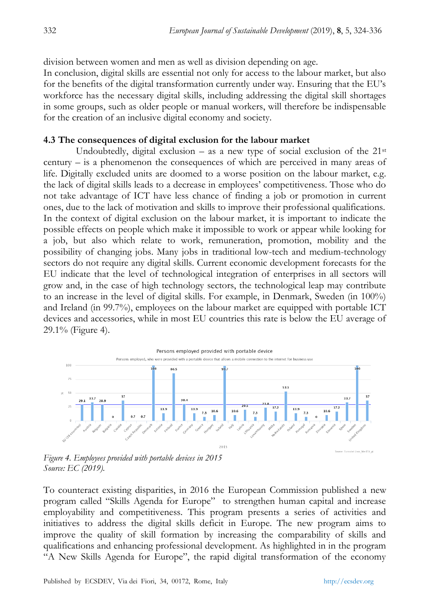division between women and men as well as division depending on age.

In conclusion, digital skills are essential not only for access to the labour market, but also for the benefits of the digital transformation currently under way. Ensuring that the EU's workforce has the necessary digital skills, including addressing the digital skill shortages in some groups, such as older people or manual workers, will therefore be indispensable for the creation of an inclusive digital economy and society.

## **4.3 The consequences of digital exclusion for the labour market**

Undoubtedly, digital exclusion – as a new type of social exclusion of the  $21^{st}$ century – is a phenomenon the consequences of which are perceived in many areas of life. Digitally excluded units are doomed to a worse position on the labour market, e.g. the lack of digital skills leads to a decrease in employees' competitiveness. Those who do not take advantage of ICT have less chance of finding a job or promotion in current ones, due to the lack of motivation and skills to improve their professional qualifications. In the context of digital exclusion on the labour market, it is important to indicate the possible effects on people which make it impossible to work or appear while looking for a job, but also which relate to work, remuneration, promotion, mobility and the possibility of changing jobs. Many jobs in traditional low-tech and medium-technology sectors do not require any digital skills. Current economic development forecasts for the EU indicate that the level of technological integration of enterprises in all sectors will grow and, in the case of high technology sectors, the technological leap may contribute to an increase in the level of digital skills. For example, in Denmark, Sweden (in 100%) and Ireland (in 99.7%), employees on the labour market are equipped with portable ICT devices and accessories, while in most EU countries this rate is below the EU average of 29.1% (Figure 4).



*Figure 4. Employees provided with portable devices in 2015 Source: EC (2019).* 

To counteract existing disparities, in 2016 the European Commission published a new program called "Skills Agenda for Europe" to strengthen human capital and increase employability and competitiveness. This program presents a series of activities and initiatives to address the digital skills deficit in Europe. The new program aims to improve the quality of skill formation by increasing the comparability of skills and qualifications and enhancing professional development. As highlighted in in the program "A New Skills Agenda for Europe", the rapid digital transformation of the economy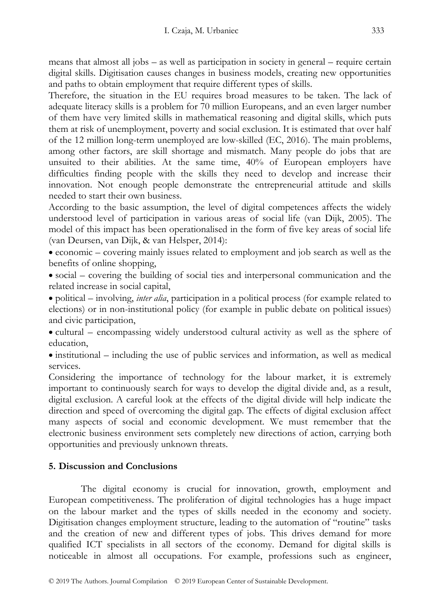means that almost all jobs – as well as participation in society in general – require certain digital skills. Digitisation causes changes in business models, creating new opportunities and paths to obtain employment that require different types of skills.

Therefore, the situation in the EU requires broad measures to be taken. The lack of adequate literacy skills is a problem for 70 million Europeans, and an even larger number of them have very limited skills in mathematical reasoning and digital skills, which puts them at risk of unemployment, poverty and social exclusion. It is estimated that over half of the 12 million long-term unemployed are low-skilled (EC, 2016). The main problems, among other factors, are skill shortage and mismatch. Many people do jobs that are unsuited to their abilities. At the same time, 40% of European employers have difficulties finding people with the skills they need to develop and increase their innovation. Not enough people demonstrate the entrepreneurial attitude and skills needed to start their own business.

According to the basic assumption, the level of digital competences affects the widely understood level of participation in various areas of social life (van Dijk, 2005). The model of this impact has been operationalised in the form of five key areas of social life (van Deursen, van Dijk, & van Helsper, 2014):

 economic – covering mainly issues related to employment and job search as well as the benefits of online shopping,

 social – covering the building of social ties and interpersonal communication and the related increase in social capital,

 political – involving, *inter alia*, participation in a political process (for example related to elections) or in non-institutional policy (for example in public debate on political issues) and civic participation,

 cultural – encompassing widely understood cultural activity as well as the sphere of education,

• institutional – including the use of public services and information, as well as medical services.

Considering the importance of technology for the labour market, it is extremely important to continuously search for ways to develop the digital divide and, as a result, digital exclusion. A careful look at the effects of the digital divide will help indicate the direction and speed of overcoming the digital gap. The effects of digital exclusion affect many aspects of social and economic development. We must remember that the electronic business environment sets completely new directions of action, carrying both opportunities and previously unknown threats.

## **5. Discussion and Conclusions**

The digital economy is crucial for innovation, growth, employment and European competitiveness. The proliferation of digital technologies has a huge impact on the labour market and the types of skills needed in the economy and society. Digitisation changes employment structure, leading to the automation of "routine" tasks and the creation of new and different types of jobs. This drives demand for more qualified ICT specialists in all sectors of the economy. Demand for digital skills is noticeable in almost all occupations. For example, professions such as engineer,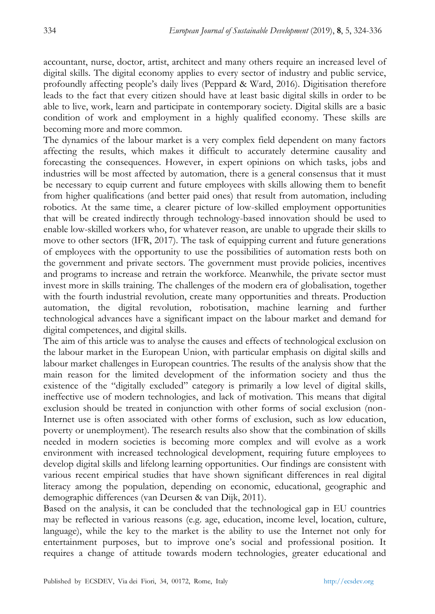accountant, nurse, doctor, artist, architect and many others require an increased level of digital skills. The digital economy applies to every sector of industry and public service, profoundly affecting people's daily lives (Peppard & Ward, 2016). Digitisation therefore leads to the fact that every citizen should have at least basic digital skills in order to be able to live, work, learn and participate in contemporary society. Digital skills are a basic condition of work and employment in a highly qualified economy. These skills are becoming more and more common.

The dynamics of the labour market is a very complex field dependent on many factors affecting the results, which makes it difficult to accurately determine causality and forecasting the consequences. However, in expert opinions on which tasks, jobs and industries will be most affected by automation, there is a general consensus that it must be necessary to equip current and future employees with skills allowing them to benefit from higher qualifications (and better paid ones) that result from automation, including robotics. At the same time, a clearer picture of low-skilled employment opportunities that will be created indirectly through technology-based innovation should be used to enable low-skilled workers who, for whatever reason, are unable to upgrade their skills to move to other sectors (IFR, 2017). The task of equipping current and future generations of employees with the opportunity to use the possibilities of automation rests both on the government and private sectors. The government must provide policies, incentives and programs to increase and retrain the workforce. Meanwhile, the private sector must invest more in skills training. The challenges of the modern era of globalisation, together with the fourth industrial revolution, create many opportunities and threats. Production automation, the digital revolution, robotisation, machine learning and further technological advances have a significant impact on the labour market and demand for digital competences, and digital skills.

The aim of this article was to analyse the causes and effects of technological exclusion on the labour market in the European Union, with particular emphasis on digital skills and labour market challenges in European countries. The results of the analysis show that the main reason for the limited development of the information society and thus the existence of the "digitally excluded" category is primarily a low level of digital skills, ineffective use of modern technologies, and lack of motivation. This means that digital exclusion should be treated in conjunction with other forms of social exclusion (non-Internet use is often associated with other forms of exclusion, such as low education, poverty or unemployment). The research results also show that the combination of skills needed in modern societies is becoming more complex and will evolve as a work environment with increased technological development, requiring future employees to develop digital skills and lifelong learning opportunities. Our findings are consistent with various recent empirical studies that have shown significant differences in real digital literacy among the population, depending on economic, educational, geographic and demographic differences (van Deursen & van Dijk, 2011).

Based on the analysis, it can be concluded that the technological gap in EU countries may be reflected in various reasons (e.g. age, education, income level, location, culture, language), while the key to the market is the ability to use the Internet not only for entertainment purposes, but to improve one's social and professional position. It requires a change of attitude towards modern technologies, greater educational and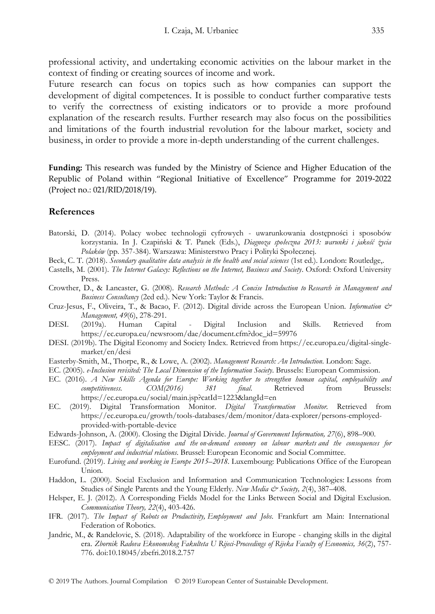professional activity, and undertaking economic activities on the labour market in the context of finding or creating sources of income and work.

Future research can focus on topics such as how companies can support the development of digital competences. It is possible to conduct further comparative tests to verify the correctness of existing indicators or to provide a more profound explanation of the research results. Further research may also focus on the possibilities and limitations of the fourth industrial revolution for the labour market, society and business, in order to provide a more in-depth understanding of the current challenges.

**Funding:** This research was funded by the Ministry of Science and Higher Education of the Republic of Poland within "Regional Initiative of Excellence" Programme for 2019-2022 (Project no.: 021/RID/2018/19).

#### **References**

- Batorski, D. (2014). Polacy wobec technologii cyfrowych uwarunkowania dostępności i sposobów korzystania. In J. Czapiński & T. Panek (Eds.), *Diagnoza społeczna 2013: warunki i jakość życia Polaków* (pp. 357-384). Warszawa: Ministerstwo Pracy i Polityki Społecznej.
- Beck, C. T. (2018). *Secondary qualitative data analysis in the health and social sciences* (1st ed.). London: Routledge,.
- Castells, M. (2001). *The Internet Galaxy: Reflections on the Internet, Business and Society*. Oxford: Oxford University Press.
- Crowther, D., & Lancaster, G. (2008). *Research Methods: A Concise Introduction to Research in Management and Business Consultancy* (2ed ed.). New York: Taylor & Francis.
- Cruz-Jesus, F., Oliveira, T., & Bacao, F. (2012). Digital divide across the European Union. *Information & Management, 49*(6), 278-291.
- DESI. (2019a). Human Capital Digital Inclusion and Skills. Retrieved from https://ec.europa.eu/newsroom/dae/document.cfm?doc\_id=59976
- DESI. (2019b). The Digital Economy and Society Index. Retrieved from https://ec.europa.eu/digital-singlemarket/en/desi
- Easterby-Smith, M., Thorpe, R., & Lowe, A. (2002). *Management Research: An Introduction*. London: Sage.
- EC. (2005). *e-Inclusion revisited: The Local Dimension of the Information Society*. Brussels: European Commission.
- EC. (2016). *A New Skills Agenda for Europe: Working together to strengthen human capital, employability and competitiveness. COM(2016) 381 final*. Retrieved from Brussels: https://ec.europa.eu/social/main.jsp?catId=1223&langId=en
- EC. (2019). Digital Transformation Monitor. *Digital Transformation Monitor.* Retrieved from https://ec.europa.eu/growth/tools-databases/dem/monitor/data-explorer/persons-employedprovided-with-portable-device
- Edwards-Johnson, A. (2000). Closing the Digital Divide. *Journal of Government Information, 27*(6), 898–900.
- EESC. (2017). *Impact of digitalisation and the on-demand economy on labour markets and the consequences for employment and industrial relations*. Brussel: European Economic and Social Committee.
- Eurofund. (2019). *Living and working in Europe 2015–2018*. Luxembourg: Publications Office of the European Union.
- Haddon, L. (2000). Social Exclusion and Information and Communication Technologies: Lessons from Studies of Single Parents and the Young Elderly. *New Media & Society*, 2(4), 387–408.
- Helsper, E. J. (2012). A Corresponding Fields Model for the Links Between Social and Digital Exclusion. *Communication Theory, 22*(4), 403-426.
- IFR. (2017). *The Impact of Robots on Productivity, Employment and Jobs*. Frankfurt am Main: International Federation of Robotics.
- Jandric, M., & Randelovic, S. (2018). Adaptability of the workforce in Europe changing skills in the digital era. *Zbornik Radova Ekonomskog Fakulteta U Rijeci-Proceedings of Rijeka Faculty of Economics, 36*(2), 757- 776. doi:10.18045/zbefri.2018.2.757